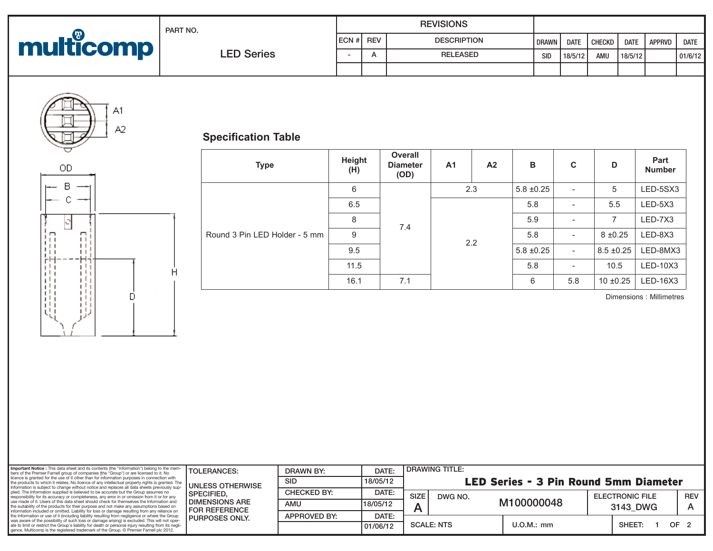| multicomp | PART NO.          |                    |  | <b>REVISIONS</b>   |              |             |        |             | <b>APPRVD</b> |         |
|-----------|-------------------|--------------------|--|--------------------|--------------|-------------|--------|-------------|---------------|---------|
|           |                   | <b>IECN #I REV</b> |  | <b>DESCRIPTION</b> | <b>DRAWN</b> | <b>DATE</b> | CHECKD | <b>DATE</b> |               | DATE    |
|           | <b>LED Series</b> |                    |  | <b>RELEASED</b>    | SID          | 18/5/12     | AMU    | 18/5/12     |               | 01/6/12 |
|           |                   |                    |  |                    |              |             |        |             |               |         |



 $\mathsf{OD}$ 

В C

## **Specification Table**

Ĥ

Đ.

| <b>Type</b>                   | Height<br>(H) | <b>Overall</b><br><b>Diameter</b><br>(OD) | A1  | A <sub>2</sub> | B                                          | C                        | D              | Part<br><b>Number</b> |
|-------------------------------|---------------|-------------------------------------------|-----|----------------|--------------------------------------------|--------------------------|----------------|-----------------------|
| Round 3 Pin LED Holder - 5 mm | 6             |                                           | 2.3 |                | $5.8 \pm 0.25$                             | $\overline{\phantom{a}}$ | 5              | LED-5SX3              |
|                               | 6.5           |                                           |     |                | 5.8                                        | $\overline{\phantom{a}}$ | 5.5            | LED-5X3               |
|                               | 8             | 7.4                                       |     |                | 5.9                                        | $\overline{\phantom{a}}$ | 7              | LED-7X3               |
|                               | 9             |                                           | 2.2 |                | 5.8                                        | $\overline{\phantom{a}}$ | $8 + 0.25$     | LED-8X3               |
|                               | 9.5           |                                           |     |                | $5.8 \pm 0.25$<br>$\overline{\phantom{a}}$ |                          | $8.5 \pm 0.25$ | LED-8MX3              |
|                               | 11.5          |                                           |     |                | 5.8                                        | $\overline{\phantom{a}}$ | 10.5           | LED-10X3              |
|                               | 16.1          | 7.1                                       |     |                | 6                                          | 5.8                      | $10 \pm 0.25$  | LED-16X3              |

Dimensions : Millimetres

| Important Notice : This data sheet and its contents (the "Information") belong to the mem-<br>bers of the Premier Farnell group of companies (the "Group") or are licensed to it. No<br>licence is granted for the use of it other than for information purposes in connection with<br>the products to which it relates. No licence of any intellectual property rights is granted. The<br>Information is subject to change without notice and replaces all data sheets previously sup-<br>plied. The Information supplied is believed to be accurate but the Group assumes no<br>responsibility for its accuracy or completeness, any error in or omission from it or for any<br>use made of it. Users of this data sheet should check for themselves the Information and<br>the suitability of the products for their purpose and not make any assumptions based on<br>information included or omitted. Liability for loss or damage resulting from any reliance on<br>the Information or use of it (including liability resulting from negligence or where the Group<br>was aware of the possibility of such loss or damage arising) is excluded. This will not oper-<br>ate to limit or restrict the Group's liability for death or personal injury resulting from its negli-<br>gence. Multicomp is the registered trademark of the Group. © Premier Farnell plc 2012. | <b>TOLERANCES:</b>                                                                                             | <b>DRAWN BY:</b>   | DATE:    | <b>DRAWING TITLE:</b>                 |              |          |                        |                 |  |
|-----------------------------------------------------------------------------------------------------------------------------------------------------------------------------------------------------------------------------------------------------------------------------------------------------------------------------------------------------------------------------------------------------------------------------------------------------------------------------------------------------------------------------------------------------------------------------------------------------------------------------------------------------------------------------------------------------------------------------------------------------------------------------------------------------------------------------------------------------------------------------------------------------------------------------------------------------------------------------------------------------------------------------------------------------------------------------------------------------------------------------------------------------------------------------------------------------------------------------------------------------------------------------------------------------------------------------------------------------------------------------|----------------------------------------------------------------------------------------------------------------|--------------------|----------|---------------------------------------|--------------|----------|------------------------|-----------------|--|
|                                                                                                                                                                                                                                                                                                                                                                                                                                                                                                                                                                                                                                                                                                                                                                                                                                                                                                                                                                                                                                                                                                                                                                                                                                                                                                                                                                             | UNLESS OTHERWISE<br><b>SPECIFIED.</b><br>I DIMENSIONS ARE<br><b>I FOR REFERENCE</b><br><b>I PURPOSES ONLY.</b> | SID                | 18/05/12 | LED Series - 3 Pin Round 5mm Diameter |              |          |                        |                 |  |
|                                                                                                                                                                                                                                                                                                                                                                                                                                                                                                                                                                                                                                                                                                                                                                                                                                                                                                                                                                                                                                                                                                                                                                                                                                                                                                                                                                             |                                                                                                                | <b>CHECKED BY:</b> | DATE:    | <b>SIZE</b><br>DWG NO.                |              |          | <b>ELECTRONIC FILE</b> |                 |  |
|                                                                                                                                                                                                                                                                                                                                                                                                                                                                                                                                                                                                                                                                                                                                                                                                                                                                                                                                                                                                                                                                                                                                                                                                                                                                                                                                                                             |                                                                                                                | AMU                | 18/05/12 |                                       | M100000048   | 3143 DWG |                        |                 |  |
|                                                                                                                                                                                                                                                                                                                                                                                                                                                                                                                                                                                                                                                                                                                                                                                                                                                                                                                                                                                                                                                                                                                                                                                                                                                                                                                                                                             |                                                                                                                | APPROVED BY:       | DATE:    |                                       |              |          |                        |                 |  |
|                                                                                                                                                                                                                                                                                                                                                                                                                                                                                                                                                                                                                                                                                                                                                                                                                                                                                                                                                                                                                                                                                                                                                                                                                                                                                                                                                                             |                                                                                                                |                    | 01/06/12 | <b>SCALE: NTS</b>                     | $U.O.M.:$ mm |          | SHEET:                 | OF <sub>2</sub> |  |
|                                                                                                                                                                                                                                                                                                                                                                                                                                                                                                                                                                                                                                                                                                                                                                                                                                                                                                                                                                                                                                                                                                                                                                                                                                                                                                                                                                             |                                                                                                                |                    |          |                                       |              |          |                        |                 |  |